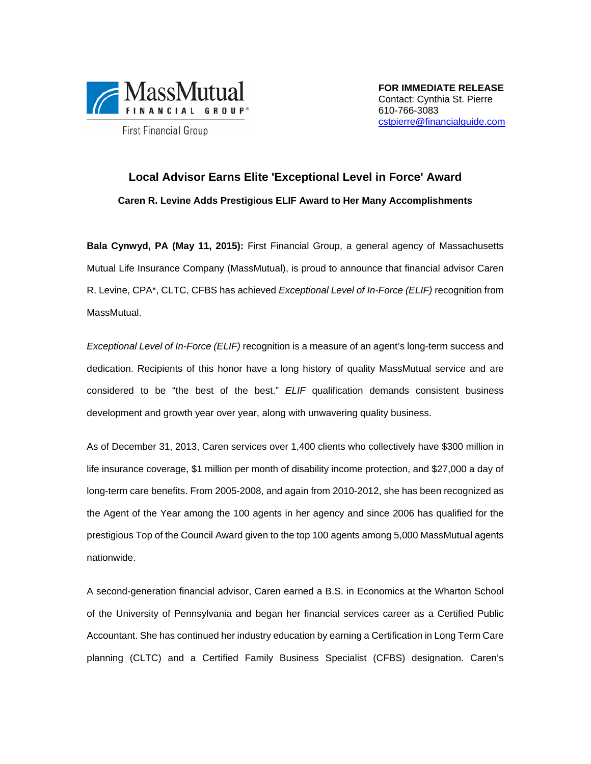

**First Financial Group** 

**FOR IMMEDIATE RELEASE**  Contact: Cynthia St. Pierre 610-766-3083 cstpierre@financialguide.com

## **Local Advisor Earns Elite 'Exceptional Level in Force' Award Caren R. Levine Adds Prestigious ELIF Award to Her Many Accomplishments**

**Bala Cynwyd, PA (May 11, 2015):** First Financial Group, a general agency of Massachusetts Mutual Life Insurance Company (MassMutual), is proud to announce that financial advisor Caren R. Levine, CPA\*, CLTC, CFBS has achieved *Exceptional Level of In-Force (ELIF)* recognition from MassMutual.

*Exceptional Level of In-Force (ELIF)* recognition is a measure of an agent's long-term success and dedication. Recipients of this honor have a long history of quality MassMutual service and are considered to be "the best of the best." *ELIF* qualification demands consistent business development and growth year over year, along with unwavering quality business.

As of December 31, 2013, Caren services over 1,400 clients who collectively have \$300 million in life insurance coverage, \$1 million per month of disability income protection, and \$27,000 a day of long-term care benefits. From 2005-2008, and again from 2010-2012, she has been recognized as the Agent of the Year among the 100 agents in her agency and since 2006 has qualified for the prestigious Top of the Council Award given to the top 100 agents among 5,000 MassMutual agents nationwide.

A second-generation financial advisor, Caren earned a B.S. in Economics at the Wharton School of the University of Pennsylvania and began her financial services career as a Certified Public Accountant. She has continued her industry education by earning a Certification in Long Term Care planning (CLTC) and a Certified Family Business Specialist (CFBS) designation. Caren's